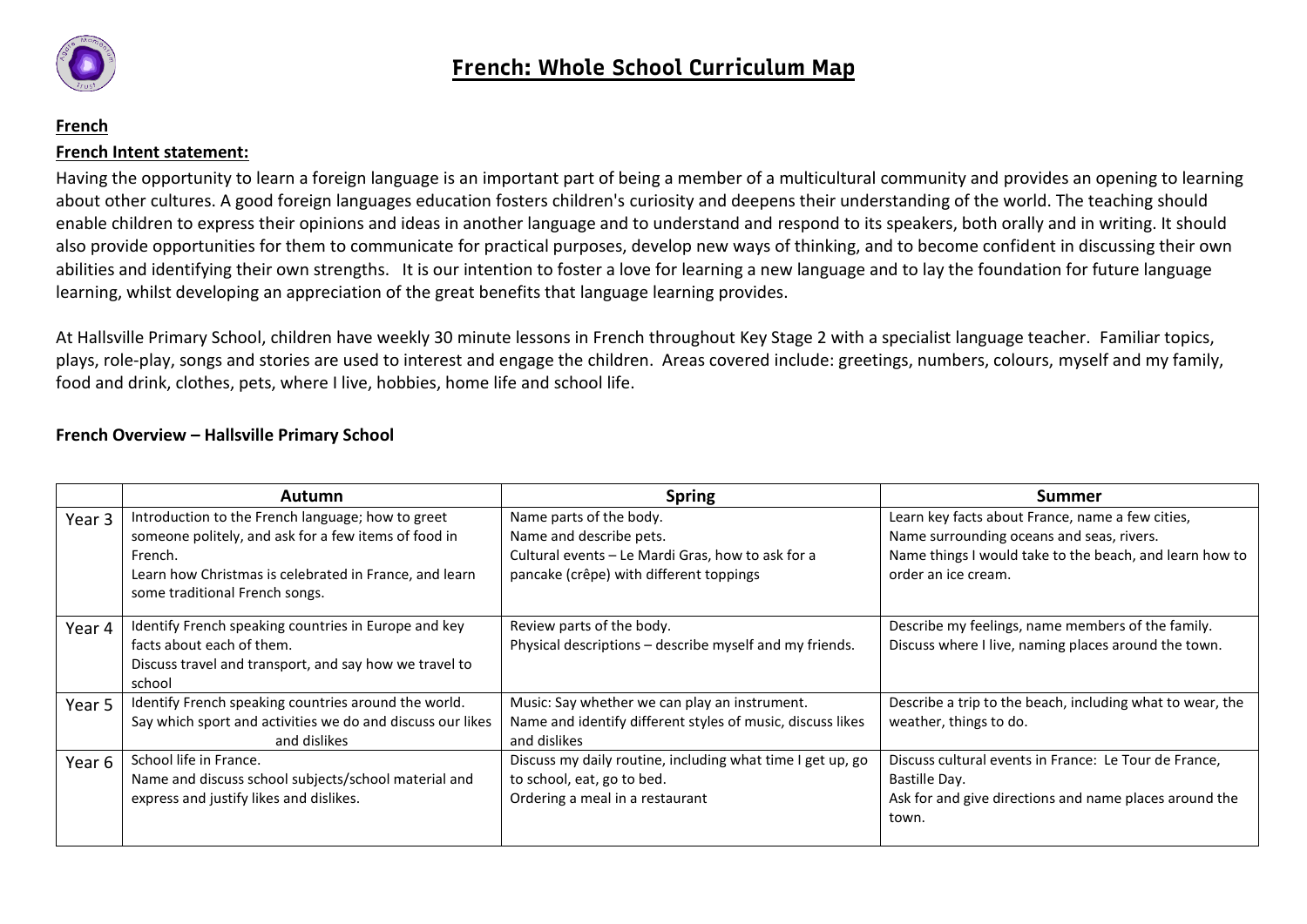

## **French French Intent statement:**

Having the opportunity to learn a foreign language is an important part of being a member of a multicultural community and provides an opening to learning about other cultures. A good foreign languages education fosters children's curiosity and deepens their understanding of the world. The teaching should enable children to express their opinions and ideas in another language and to understand and respond to its speakers, both orally and in writing. It should also provide opportunities for them to communicate for practical purposes, develop new ways of thinking, and to become confident in discussing their own abilities and identifying their own strengths. It is our intention to foster a love for learning a new language and to lay the foundation for future language learning, whilst developing an appreciation of the great benefits that language learning provides.

At Hallsville Primary School, children have weekly 30 minute lessons in French throughout Key Stage 2 with a specialist language teacher. Familiar topics, plays, role-play, songs and stories are used to interest and engage the children. Areas covered include: greetings, numbers, colours, myself and my family, food and drink, clothes, pets, where I live, hobbies, home life and school life.

## **French Overview – Hallsville Primary School**

|        | <b>Autumn</b>                                                                                                                                                                                                    | <b>Spring</b>                                                                                                                                      | <b>Summer</b>                                                                                                                                                                   |
|--------|------------------------------------------------------------------------------------------------------------------------------------------------------------------------------------------------------------------|----------------------------------------------------------------------------------------------------------------------------------------------------|---------------------------------------------------------------------------------------------------------------------------------------------------------------------------------|
| Year 3 | Introduction to the French language; how to greet<br>someone politely, and ask for a few items of food in<br>French.<br>Learn how Christmas is celebrated in France, and learn<br>some traditional French songs. | Name parts of the body.<br>Name and describe pets.<br>Cultural events - Le Mardi Gras, how to ask for a<br>pancake (crêpe) with different toppings | Learn key facts about France, name a few cities,<br>Name surrounding oceans and seas, rivers.<br>Name things I would take to the beach, and learn how to<br>order an ice cream. |
|        |                                                                                                                                                                                                                  |                                                                                                                                                    |                                                                                                                                                                                 |
| Year 4 | Identify French speaking countries in Europe and key<br>facts about each of them.<br>Discuss travel and transport, and say how we travel to<br>school                                                            | Review parts of the body.<br>Physical descriptions - describe myself and my friends.                                                               | Describe my feelings, name members of the family.<br>Discuss where I live, naming places around the town.                                                                       |
| Year 5 | Identify French speaking countries around the world.<br>Say which sport and activities we do and discuss our likes<br>and dislikes                                                                               | Music: Say whether we can play an instrument.<br>Name and identify different styles of music, discuss likes<br>and dislikes                        | Describe a trip to the beach, including what to wear, the<br>weather, things to do.                                                                                             |
| Year 6 | School life in France.<br>Name and discuss school subjects/school material and<br>express and justify likes and dislikes.                                                                                        | Discuss my daily routine, including what time I get up, go<br>to school, eat, go to bed.<br>Ordering a meal in a restaurant                        | Discuss cultural events in France: Le Tour de France,<br>Bastille Day.<br>Ask for and give directions and name places around the<br>town.                                       |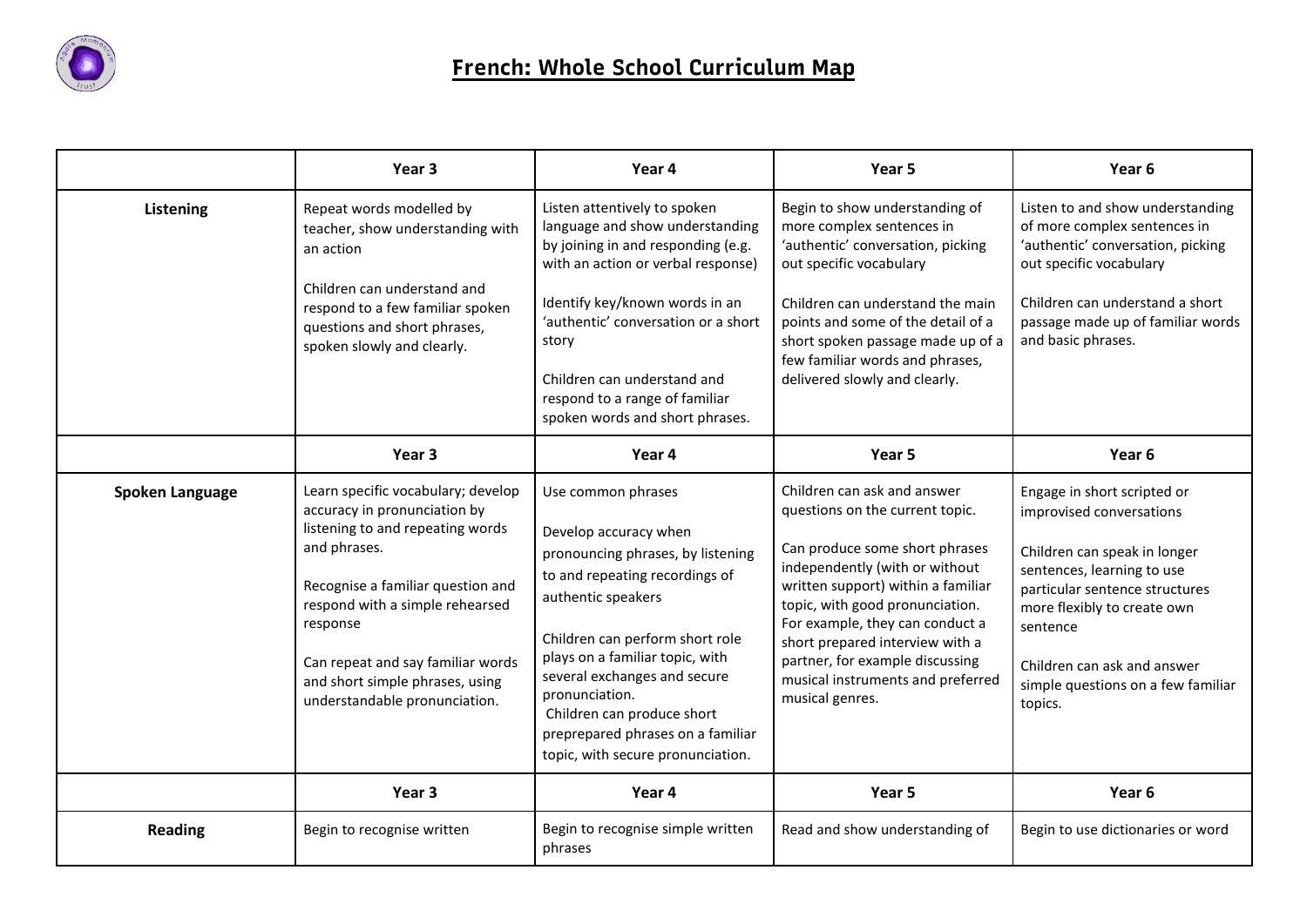

|                 | Year <sub>3</sub>                                                                                                                                                                                                                                                                                                   | Year 4                                                                                                                                                                                                                                                                                                                                                                   | Year 5                                                                                                                                                                                                                                                                                                                                                                       | Year 6                                                                                                                                                                                                                                                                             |
|-----------------|---------------------------------------------------------------------------------------------------------------------------------------------------------------------------------------------------------------------------------------------------------------------------------------------------------------------|--------------------------------------------------------------------------------------------------------------------------------------------------------------------------------------------------------------------------------------------------------------------------------------------------------------------------------------------------------------------------|------------------------------------------------------------------------------------------------------------------------------------------------------------------------------------------------------------------------------------------------------------------------------------------------------------------------------------------------------------------------------|------------------------------------------------------------------------------------------------------------------------------------------------------------------------------------------------------------------------------------------------------------------------------------|
| Listening       | Repeat words modelled by<br>teacher, show understanding with<br>an action<br>Children can understand and<br>respond to a few familiar spoken<br>questions and short phrases,<br>spoken slowly and clearly.                                                                                                          | Listen attentively to spoken<br>language and show understanding<br>by joining in and responding (e.g.<br>with an action or verbal response)<br>Identify key/known words in an<br>'authentic' conversation or a short<br>story<br>Children can understand and<br>respond to a range of familiar<br>spoken words and short phrases.                                        | Begin to show understanding of<br>more complex sentences in<br>'authentic' conversation, picking<br>out specific vocabulary<br>Children can understand the main<br>points and some of the detail of a<br>short spoken passage made up of a<br>few familiar words and phrases,<br>delivered slowly and clearly.                                                               | Listen to and show understanding<br>of more complex sentences in<br>'authentic' conversation, picking<br>out specific vocabulary<br>Children can understand a short<br>passage made up of familiar words<br>and basic phrases.                                                     |
|                 | Year 3                                                                                                                                                                                                                                                                                                              | Year 4                                                                                                                                                                                                                                                                                                                                                                   | Year 5                                                                                                                                                                                                                                                                                                                                                                       | Year <sub>6</sub>                                                                                                                                                                                                                                                                  |
| Spoken Language | Learn specific vocabulary; develop<br>accuracy in pronunciation by<br>listening to and repeating words<br>and phrases.<br>Recognise a familiar question and<br>respond with a simple rehearsed<br>response<br>Can repeat and say familiar words<br>and short simple phrases, using<br>understandable pronunciation. | Use common phrases<br>Develop accuracy when<br>pronouncing phrases, by listening<br>to and repeating recordings of<br>authentic speakers<br>Children can perform short role<br>plays on a familiar topic, with<br>several exchanges and secure<br>pronunciation.<br>Children can produce short<br>preprepared phrases on a familiar<br>topic, with secure pronunciation. | Children can ask and answer<br>questions on the current topic.<br>Can produce some short phrases<br>independently (with or without<br>written support) within a familiar<br>topic, with good pronunciation.<br>For example, they can conduct a<br>short prepared interview with a<br>partner, for example discussing<br>musical instruments and preferred<br>musical genres. | Engage in short scripted or<br>improvised conversations<br>Children can speak in longer<br>sentences, learning to use<br>particular sentence structures<br>more flexibly to create own<br>sentence<br>Children can ask and answer<br>simple questions on a few familiar<br>topics. |
|                 | Year 3                                                                                                                                                                                                                                                                                                              | Year 4                                                                                                                                                                                                                                                                                                                                                                   | Year 5                                                                                                                                                                                                                                                                                                                                                                       | Year 6                                                                                                                                                                                                                                                                             |
| <b>Reading</b>  | Begin to recognise written                                                                                                                                                                                                                                                                                          | Begin to recognise simple written<br>phrases                                                                                                                                                                                                                                                                                                                             | Read and show understanding of                                                                                                                                                                                                                                                                                                                                               | Begin to use dictionaries or word                                                                                                                                                                                                                                                  |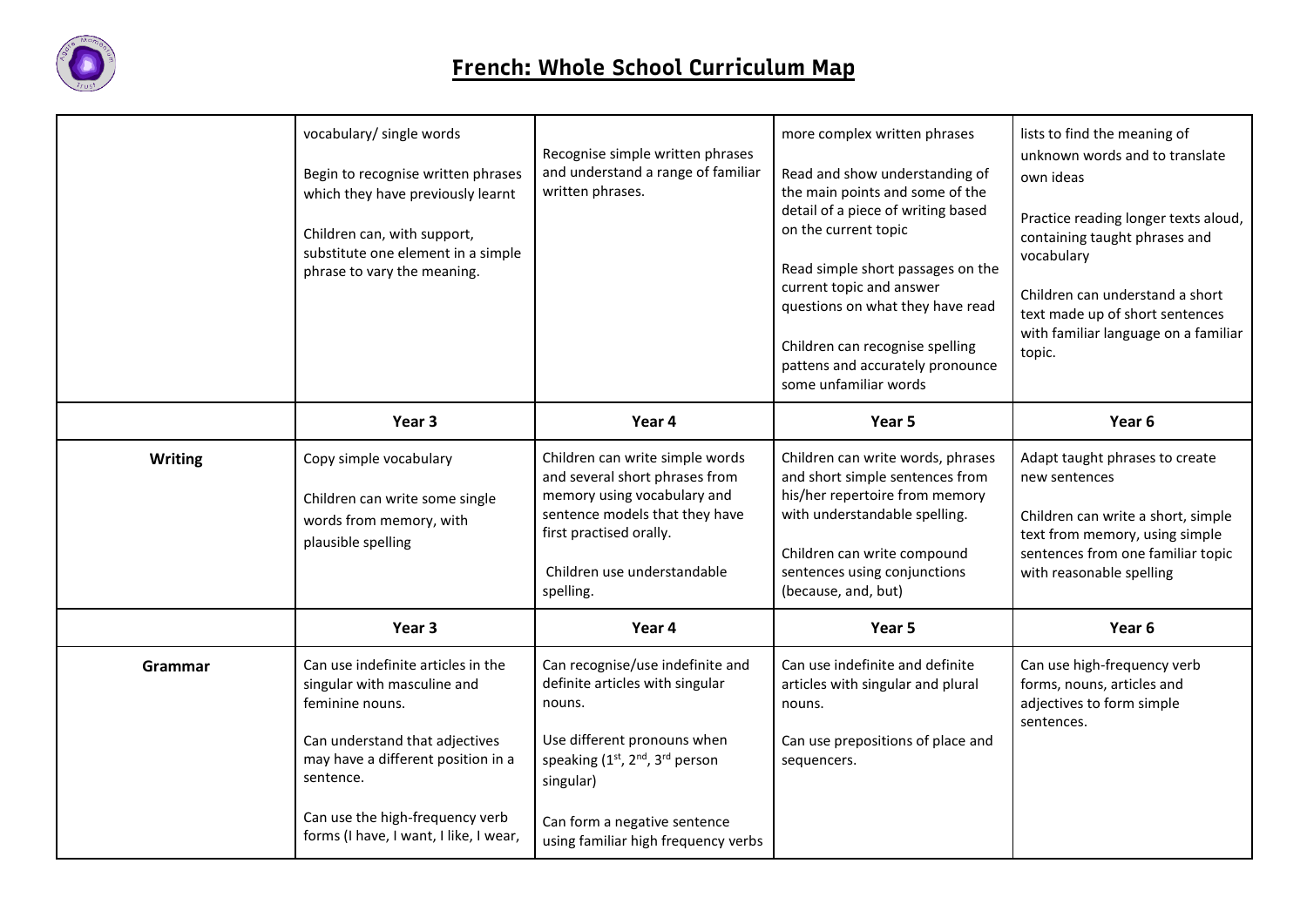

|         | vocabulary/ single words<br>Begin to recognise written phrases<br>which they have previously learnt<br>Children can, with support,<br>substitute one element in a simple<br>phrase to vary the meaning.                                                | Recognise simple written phrases<br>and understand a range of familiar<br>written phrases.                                                                                                                                                                               | more complex written phrases<br>Read and show understanding of<br>the main points and some of the<br>detail of a piece of writing based<br>on the current topic<br>Read simple short passages on the<br>current topic and answer<br>questions on what they have read<br>Children can recognise spelling<br>pattens and accurately pronounce<br>some unfamiliar words | lists to find the meaning of<br>unknown words and to translate<br>own ideas<br>Practice reading longer texts aloud,<br>containing taught phrases and<br>vocabulary<br>Children can understand a short<br>text made up of short sentences<br>with familiar language on a familiar<br>topic. |
|---------|--------------------------------------------------------------------------------------------------------------------------------------------------------------------------------------------------------------------------------------------------------|--------------------------------------------------------------------------------------------------------------------------------------------------------------------------------------------------------------------------------------------------------------------------|----------------------------------------------------------------------------------------------------------------------------------------------------------------------------------------------------------------------------------------------------------------------------------------------------------------------------------------------------------------------|--------------------------------------------------------------------------------------------------------------------------------------------------------------------------------------------------------------------------------------------------------------------------------------------|
|         | Year 3                                                                                                                                                                                                                                                 | Year 4                                                                                                                                                                                                                                                                   | Year 5                                                                                                                                                                                                                                                                                                                                                               | Year 6                                                                                                                                                                                                                                                                                     |
| Writing | Copy simple vocabulary<br>Children can write some single<br>words from memory, with<br>plausible spelling                                                                                                                                              | Children can write simple words<br>and several short phrases from<br>memory using vocabulary and<br>sentence models that they have<br>first practised orally.<br>Children use understandable<br>spelling.                                                                | Children can write words, phrases<br>and short simple sentences from<br>his/her repertoire from memory<br>with understandable spelling.<br>Children can write compound<br>sentences using conjunctions<br>(because, and, but)                                                                                                                                        | Adapt taught phrases to create<br>new sentences<br>Children can write a short, simple<br>text from memory, using simple<br>sentences from one familiar topic<br>with reasonable spelling                                                                                                   |
|         | Year 3                                                                                                                                                                                                                                                 | Year 4                                                                                                                                                                                                                                                                   | Year 5                                                                                                                                                                                                                                                                                                                                                               | Year <sub>6</sub>                                                                                                                                                                                                                                                                          |
| Grammar | Can use indefinite articles in the<br>singular with masculine and<br>feminine nouns.<br>Can understand that adjectives<br>may have a different position in a<br>sentence.<br>Can use the high-frequency verb<br>forms (I have, I want, I like, I wear, | Can recognise/use indefinite and<br>definite articles with singular<br>nouns.<br>Use different pronouns when<br>speaking (1 <sup>st</sup> , 2 <sup>nd</sup> , 3 <sup>rd</sup> person<br>singular)<br>Can form a negative sentence<br>using familiar high frequency verbs | Can use indefinite and definite<br>articles with singular and plural<br>nouns.<br>Can use prepositions of place and<br>sequencers.                                                                                                                                                                                                                                   | Can use high-frequency verb<br>forms, nouns, articles and<br>adjectives to form simple<br>sentences.                                                                                                                                                                                       |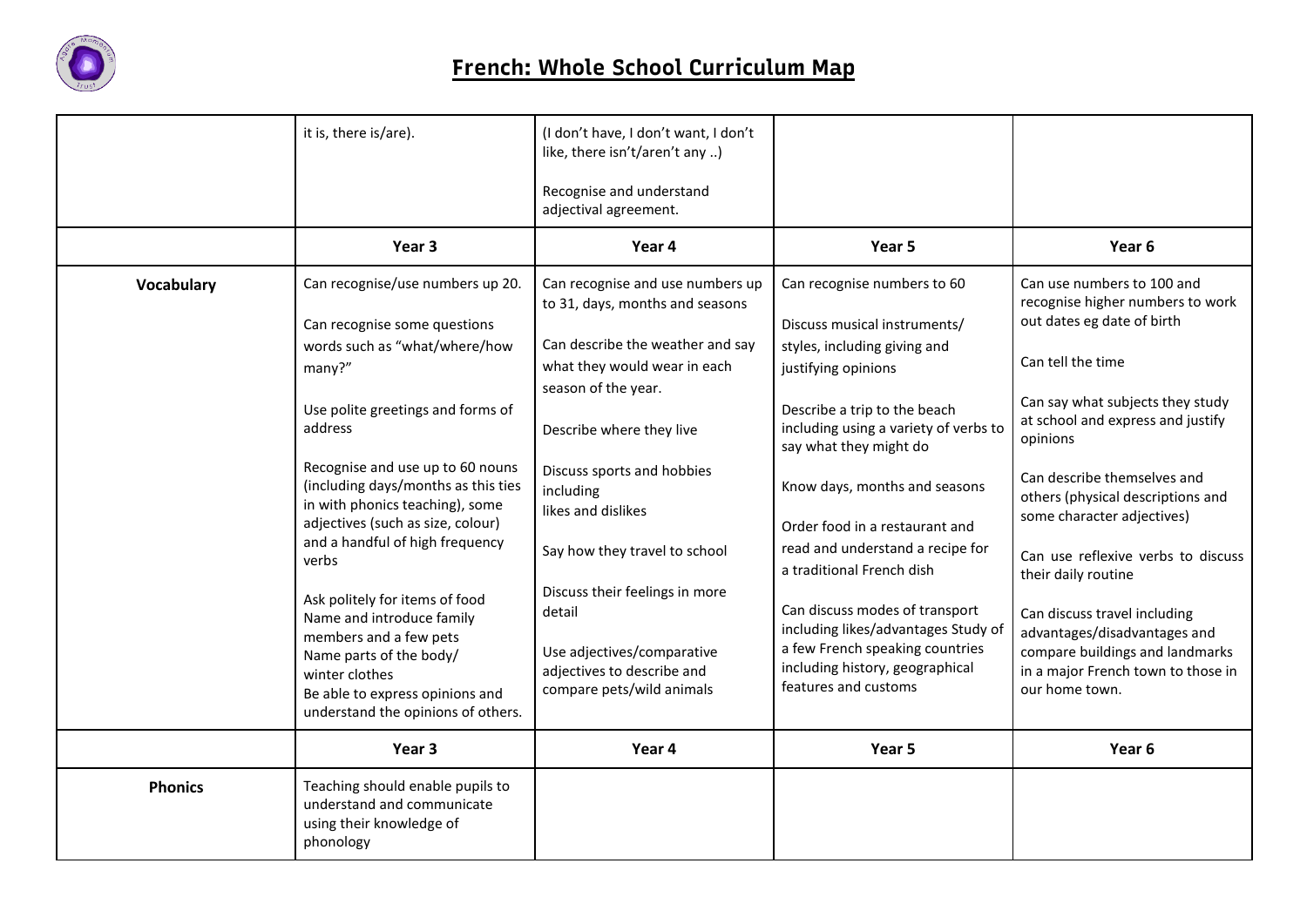

|                | it is, there is/are).                                                                                                                                                                                       | (I don't have, I don't want, I don't<br>like, there isn't/aren't any )                                                            |                                                                                                                                                                     |                                                                                                                                                         |
|----------------|-------------------------------------------------------------------------------------------------------------------------------------------------------------------------------------------------------------|-----------------------------------------------------------------------------------------------------------------------------------|---------------------------------------------------------------------------------------------------------------------------------------------------------------------|---------------------------------------------------------------------------------------------------------------------------------------------------------|
|                |                                                                                                                                                                                                             | Recognise and understand<br>adjectival agreement.                                                                                 |                                                                                                                                                                     |                                                                                                                                                         |
|                | Year 3                                                                                                                                                                                                      | Year 4                                                                                                                            | Year 5                                                                                                                                                              | Year 6                                                                                                                                                  |
| Vocabulary     | Can recognise/use numbers up 20.                                                                                                                                                                            | Can recognise and use numbers up<br>to 31, days, months and seasons                                                               | Can recognise numbers to 60                                                                                                                                         | Can use numbers to 100 and<br>recognise higher numbers to work                                                                                          |
|                | Can recognise some questions                                                                                                                                                                                |                                                                                                                                   | Discuss musical instruments/                                                                                                                                        | out dates eg date of birth                                                                                                                              |
|                | words such as "what/where/how                                                                                                                                                                               | Can describe the weather and say                                                                                                  | styles, including giving and                                                                                                                                        |                                                                                                                                                         |
|                | many?"                                                                                                                                                                                                      | what they would wear in each<br>season of the year.                                                                               | justifying opinions                                                                                                                                                 | Can tell the time                                                                                                                                       |
|                | Use polite greetings and forms of<br>address                                                                                                                                                                | Describe where they live                                                                                                          | Describe a trip to the beach<br>including using a variety of verbs to<br>say what they might do                                                                     | Can say what subjects they study<br>at school and express and justify<br>opinions                                                                       |
|                | Recognise and use up to 60 nouns<br>(including days/months as this ties<br>in with phonics teaching), some                                                                                                  | Discuss sports and hobbies<br>including<br>likes and dislikes                                                                     | Know days, months and seasons                                                                                                                                       | Can describe themselves and<br>others (physical descriptions and<br>some character adjectives)                                                          |
|                | adjectives (such as size, colour)                                                                                                                                                                           |                                                                                                                                   | Order food in a restaurant and                                                                                                                                      |                                                                                                                                                         |
|                | and a handful of high frequency<br>verbs                                                                                                                                                                    | Say how they travel to school                                                                                                     | read and understand a recipe for<br>a traditional French dish                                                                                                       | Can use reflexive verbs to discuss<br>their daily routine                                                                                               |
|                | Ask politely for items of food<br>Name and introduce family<br>members and a few pets<br>Name parts of the body/<br>winter clothes<br>Be able to express opinions and<br>understand the opinions of others. | Discuss their feelings in more<br>detail<br>Use adjectives/comparative<br>adjectives to describe and<br>compare pets/wild animals | Can discuss modes of transport<br>including likes/advantages Study of<br>a few French speaking countries<br>including history, geographical<br>features and customs | Can discuss travel including<br>advantages/disadvantages and<br>compare buildings and landmarks<br>in a major French town to those in<br>our home town. |
|                | Year 3                                                                                                                                                                                                      | Year 4                                                                                                                            | Year 5                                                                                                                                                              | Year <sub>6</sub>                                                                                                                                       |
| <b>Phonics</b> | Teaching should enable pupils to<br>understand and communicate<br>using their knowledge of<br>phonology                                                                                                     |                                                                                                                                   |                                                                                                                                                                     |                                                                                                                                                         |